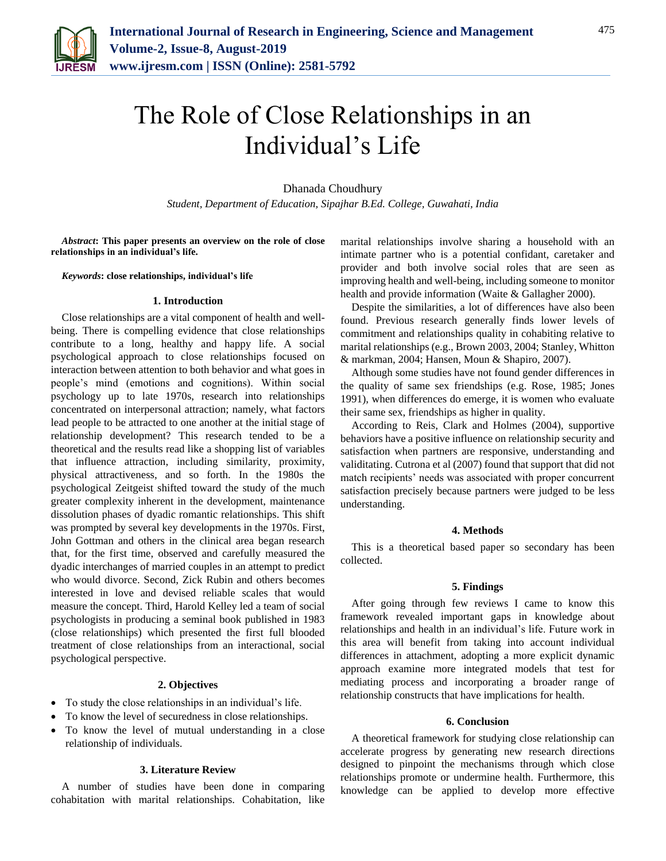

# The Role of Close Relationships in an Individual's Life

Dhanada Choudhury

*Student, Department of Education, Sipajhar B.Ed. College, Guwahati, India*

*Abstract***: This paper presents an overview on the role of close relationships in an individual's life.**

*Keywords***: close relationships, individual's life**

#### **1. Introduction**

Close relationships are a vital component of health and wellbeing. There is compelling evidence that close relationships contribute to a long, healthy and happy life. A social psychological approach to close relationships focused on interaction between attention to both behavior and what goes in people's mind (emotions and cognitions). Within social psychology up to late 1970s, research into relationships concentrated on interpersonal attraction; namely, what factors lead people to be attracted to one another at the initial stage of relationship development? This research tended to be a theoretical and the results read like a shopping list of variables that influence attraction, including similarity, proximity, physical attractiveness, and so forth. In the 1980s the psychological Zeitgeist shifted toward the study of the much greater complexity inherent in the development, maintenance dissolution phases of dyadic romantic relationships. This shift was prompted by several key developments in the 1970s. First, John Gottman and others in the clinical area began research that, for the first time, observed and carefully measured the dyadic interchanges of married couples in an attempt to predict who would divorce. Second, Zick Rubin and others becomes interested in love and devised reliable scales that would measure the concept. Third, Harold Kelley led a team of social psychologists in producing a seminal book published in 1983 (close relationships) which presented the first full blooded treatment of close relationships from an interactional, social psychological perspective.

## **2. Objectives**

- To study the close relationships in an individual's life.
- To know the level of securedness in close relationships.
- To know the level of mutual understanding in a close relationship of individuals.

## **3. Literature Review**

A number of studies have been done in comparing cohabitation with marital relationships. Cohabitation, like marital relationships involve sharing a household with an intimate partner who is a potential confidant, caretaker and provider and both involve social roles that are seen as improving health and well-being, including someone to monitor health and provide information (Waite & Gallagher 2000).

Despite the similarities, a lot of differences have also been found. Previous research generally finds lower levels of commitment and relationships quality in cohabiting relative to marital relationships (e.g., Brown 2003, 2004; Stanley, Whitton & markman, 2004; Hansen, Moun & Shapiro, 2007).

Although some studies have not found gender differences in the quality of same sex friendships (e.g. Rose, 1985; Jones 1991), when differences do emerge, it is women who evaluate their same sex, friendships as higher in quality.

According to Reis, Clark and Holmes (2004), supportive behaviors have a positive influence on relationship security and satisfaction when partners are responsive, understanding and validitating. Cutrona et al (2007) found that support that did not match recipients' needs was associated with proper concurrent satisfaction precisely because partners were judged to be less understanding.

#### **4. Methods**

This is a theoretical based paper so secondary has been collected.

## **5. Findings**

After going through few reviews I came to know this framework revealed important gaps in knowledge about relationships and health in an individual's life. Future work in this area will benefit from taking into account individual differences in attachment, adopting a more explicit dynamic approach examine more integrated models that test for mediating process and incorporating a broader range of relationship constructs that have implications for health.

## **6. Conclusion**

A theoretical framework for studying close relationship can accelerate progress by generating new research directions designed to pinpoint the mechanisms through which close relationships promote or undermine health. Furthermore, this knowledge can be applied to develop more effective